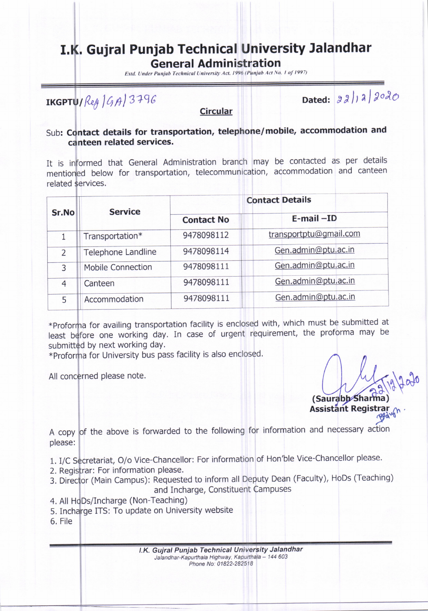## I.K. Gujral Punjab Technical University Jalandhar

General Administration

Estd. Under Punjab Technical University Act, 1996 (Punjab Act No. 1 of 1997)

 $\int \frac{1}{\beta} \frac{1}{\beta} \frac{1}{\beta} \frac{1}{\beta} \frac{1}{\beta}$  Dated:  $\int \frac{1}{\beta} \frac{1}{\beta} \frac{1}{\beta} \frac{1}{\beta} \frac{1}{\beta}$ 

**Circular** 

## Sub: Contact details for transportation, telephone/mobile, accommodation and canteen related services.

It is informed that General Administration branch may be contacted as per details mentioned below for transportation, telecommunication, accommodation and canteen related services.

|                          |                   | <b>Contact Details</b> |  |  |
|--------------------------|-------------------|------------------------|--|--|
| <b>Service</b>           | <b>Contact No</b> | $E$ -mail $-ID$        |  |  |
| Transportation*          | 9478098112        | transportptu@gmail.com |  |  |
| Telephone Landline       | 9478098114        | Gen.admin@ptu.ac.in    |  |  |
| <b>Mobile Connection</b> | 9478098111        | Gen.admin@ptu.ac.in    |  |  |
| Canteen                  | 9478098111        | Gen.admin@ptu.ac.in    |  |  |
| Accommodation            | 9478098111        | Gen.admin@ptu.ac.in    |  |  |
|                          |                   |                        |  |  |

least before one working day. In case of urgent requirement, the proforma may be submitted by next working day. \*Proforma for availing transportation facility is enclosed with, which must be submitted at

 $\ast$ Proforma for University bus pass facility is also enclosed.

All concerned please note.

12 Ava (Saurabb Sharr (Saurabb⁄ Sharma)<br>Assistant Registrar

A copy of the above is forwarded to the following for information and necessary action please:

1. I/C Secretariat, O/o Vice-Chancellor: For information of Hon'ble Vice-Chancellor please.

- 2. Registrar: For information please.
- 3. Director (Main Campus): Requested to inform all Deputy Dean (Faculty), HoDs (Teaching)
	- and Incharge, Constituent Campuses
- 4. All HoDs/Incharge (Non-Teaching)
- 5. Incharge ITS: To update on University website
- 6. File

I.K. Gujral Puniab Technical University Jalandhar Jalandhar-Kapurthala Highway, Kapurthala - 144 603 Phone No: 01822-282518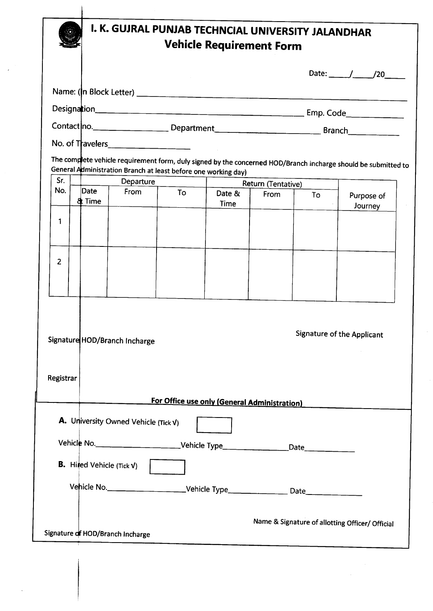|                |                                  | I. K. GUJRAL PUNJAB TECHNCIAL UNIVERSITY JALANDHAR                          |    | <b>Vehicle Requirement Form</b>              |             |                    |                                                                                                                |  |
|----------------|----------------------------------|-----------------------------------------------------------------------------|----|----------------------------------------------|-------------|--------------------|----------------------------------------------------------------------------------------------------------------|--|
|                |                                  |                                                                             |    |                                              |             |                    | Date: $\frac{1}{20}$                                                                                           |  |
|                |                                  |                                                                             |    |                                              |             |                    |                                                                                                                |  |
|                |                                  |                                                                             |    |                                              |             |                    |                                                                                                                |  |
|                |                                  |                                                                             |    |                                              |             |                    |                                                                                                                |  |
|                |                                  |                                                                             |    |                                              |             |                    |                                                                                                                |  |
|                |                                  |                                                                             |    |                                              |             |                    | The complete vehicle requirement form, duly signed by the concerned HOD/Branch incharge should be submitted to |  |
| Sr.            |                                  | General Administration Branch at least before one working day)<br>Departure |    |                                              |             | Return (Tentative) |                                                                                                                |  |
| No.            | Date<br>& Time                   | From                                                                        | To | Date &<br>Time                               | <b>From</b> | To                 | Purpose of<br>Journey                                                                                          |  |
| 1              |                                  |                                                                             |    |                                              |             |                    |                                                                                                                |  |
|                |                                  |                                                                             |    |                                              |             |                    |                                                                                                                |  |
|                |                                  |                                                                             |    |                                              |             |                    |                                                                                                                |  |
| $\overline{2}$ |                                  |                                                                             |    |                                              |             |                    |                                                                                                                |  |
|                |                                  |                                                                             |    |                                              |             |                    |                                                                                                                |  |
|                |                                  |                                                                             |    |                                              |             |                    |                                                                                                                |  |
|                |                                  |                                                                             |    |                                              |             |                    |                                                                                                                |  |
|                |                                  | Signature HOD/Branch Incharge                                               |    |                                              |             |                    | <b>Signature of the Applicant</b>                                                                              |  |
|                |                                  |                                                                             |    |                                              |             |                    |                                                                                                                |  |
|                |                                  |                                                                             |    |                                              |             |                    |                                                                                                                |  |
|                |                                  |                                                                             |    |                                              |             |                    |                                                                                                                |  |
|                |                                  |                                                                             |    |                                              |             |                    |                                                                                                                |  |
|                |                                  |                                                                             |    | For Office use only (General Administration) |             |                    |                                                                                                                |  |
|                |                                  | <b>A.</b> University Owned Vehicle (Tick $V$ )                              |    |                                              |             |                    |                                                                                                                |  |
|                |                                  |                                                                             |    |                                              |             |                    |                                                                                                                |  |
| Registrar      |                                  |                                                                             |    |                                              |             |                    |                                                                                                                |  |
|                | <b>B.</b> Hired Vehicle (Tick V) |                                                                             |    |                                              |             |                    |                                                                                                                |  |
|                |                                  |                                                                             |    |                                              |             |                    |                                                                                                                |  |